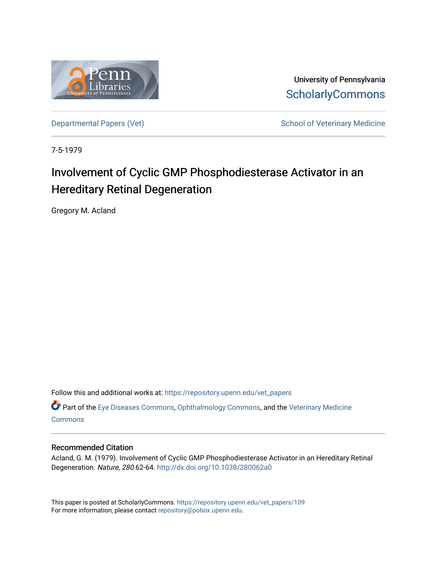

University of Pennsylvania **ScholarlyCommons** 

[Departmental Papers \(Vet\)](https://repository.upenn.edu/vet_papers) and School of Veterinary Medicine

7-5-1979

# Involvement of Cyclic GMP Phosphodiesterase Activator in an Hereditary Retinal Degeneration

Gregory M. Acland

Follow this and additional works at: [https://repository.upenn.edu/vet\\_papers](https://repository.upenn.edu/vet_papers?utm_source=repository.upenn.edu%2Fvet_papers%2F109&utm_medium=PDF&utm_campaign=PDFCoverPages) 

Part of the [Eye Diseases Commons](http://network.bepress.com/hgg/discipline/957?utm_source=repository.upenn.edu%2Fvet_papers%2F109&utm_medium=PDF&utm_campaign=PDFCoverPages), [Ophthalmology Commons,](http://network.bepress.com/hgg/discipline/695?utm_source=repository.upenn.edu%2Fvet_papers%2F109&utm_medium=PDF&utm_campaign=PDFCoverPages) and the [Veterinary Medicine](http://network.bepress.com/hgg/discipline/760?utm_source=repository.upenn.edu%2Fvet_papers%2F109&utm_medium=PDF&utm_campaign=PDFCoverPages)  **[Commons](http://network.bepress.com/hgg/discipline/760?utm_source=repository.upenn.edu%2Fvet_papers%2F109&utm_medium=PDF&utm_campaign=PDFCoverPages)** 

#### Recommended Citation

Acland, G. M. (1979). Involvement of Cyclic GMP Phosphodiesterase Activator in an Hereditary Retinal Degeneration. Nature, 280 62-64.<http://dx.doi.org/10.1038/280062a0>

This paper is posted at ScholarlyCommons. [https://repository.upenn.edu/vet\\_papers/109](https://repository.upenn.edu/vet_papers/109) For more information, please contact [repository@pobox.upenn.edu.](mailto:repository@pobox.upenn.edu)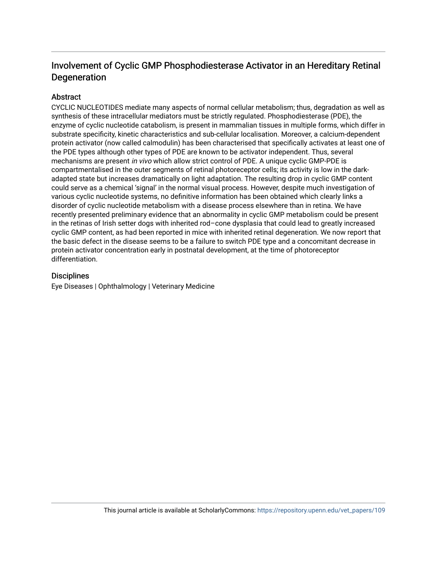## Involvement of Cyclic GMP Phosphodiesterase Activator in an Hereditary Retinal **Degeneration**

#### **Abstract**

CYCLIC NUCLEOTIDES mediate many aspects of normal cellular metabolism; thus, degradation as well as synthesis of these intracellular mediators must be strictly regulated. Phosphodiesterase (PDE), the enzyme of cyclic nucleotide catabolism, is present in mammalian tissues in multiple forms, which differ in substrate specificity, kinetic characteristics and sub-cellular localisation. Moreover, a calcium-dependent protein activator (now called calmodulin) has been characterised that specifically activates at least one of the PDE types although other types of PDE are known to be activator independent. Thus, several mechanisms are present in vivo which allow strict control of PDE. A unique cyclic GMP-PDE is compartmentalised in the outer segments of retinal photoreceptor cells; its activity is low in the darkadapted state but increases dramatically on light adaptation. The resulting drop in cyclic GMP content could serve as a chemical 'signal' in the normal visual process. However, despite much investigation of various cyclic nucleotide systems, no definitive information has been obtained which clearly links a disorder of cyclic nucleotide metabolism with a disease process elsewhere than in retina. We have recently presented preliminary evidence that an abnormality in cyclic GMP metabolism could be present in the retinas of Irish setter dogs with inherited rod–cone dysplasia that could lead to greatly increased cyclic GMP content, as had been reported in mice with inherited retinal degeneration. We now report that the basic defect in the disease seems to be a failure to switch PDE type and a concomitant decrease in protein activator concentration early in postnatal development, at the time of photoreceptor differentiation.

#### **Disciplines**

Eye Diseases | Ophthalmology | Veterinary Medicine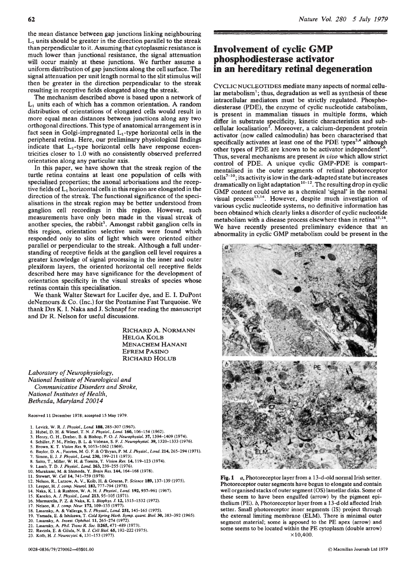the mean distance between gap junctions linking neighbouring  $L<sub>1</sub>$  units should be greater in the direction parallel to the streak than perpendicular to it. Assuming that cytoplasmic resistance is much lower than junctional resistance, the signal attenuation will occur mainly at these junctions. We further assume a uniform distribution of gap junctions along the cell surface. The signal attenuation per unit length normal to the slit stimulus will then be greater in the direction perpendicular to the streak resulting in receptive fields elongated along the streak.

The mechanism described above is based upon a network of  $L<sub>1</sub>$  units each of which has a common orientation. A random distribution of orientations of elongated cells would result in more equal mean distances between junctions along any two orthogonal directions. This type of anatomical arrangement is in fact seen in Golgi-impregnated  $L_1$ -type horizontal cells in the peripheral retina. Here, our preliminary physiological findings indicate that  $L_1$ -type horizontal cells have response eccentricities closer to 1.0 with no consistently observed preferred orientation along any particular axis.

In this paper, we have shown that the streak region of the turtle retina contains at least one population of cells wtth specialised properties; the axonal arborisations and the receptive fields of  $L_1$  horizontal cells in this region are elongated in the direction of the streak. The functional significance of the specialisations in the streak region may be better understood from ganglion cell recordings in this region. However, such measurements have only been made in the visual streak of another species, the rabbit<sup>1</sup>. Amongst rabbit ganglion cells in this region, orientation selective units were found which responded only to slits of light which were oriented either parallel or perpendicular to the streak. Although a full understanding of receptive fields at the ganglion cell level requires a greater knowledge of signal processing in the inner and outer plexiform layers, the oriented horizontal cell receptive fields described here may have significance for the development of orientation specificity in the visual streaks of species whose retinas contain this specialisation.

We thank Walter Stewart for Lucifer dye, and E. I. DuPont deNemours & Co. (Inc.) for the Pontamine Fast Turquoise. We thank Drs K. I. Naka and J. Schnapf for reading the manuscript and Dr R. Nelson for useful discussions.

> RICHARD A. NORMANN HELGAKOLB **MENACHEM HANANI** EFREM PASINO RICHARD HOLUB

*Laboratory of Neurophysiology, National Institute of Neurological and Communicative Disorders and Stroke, National Institutes of Health, Bethesda, Maryland 20014* 

Received 11 December 1978; accepted 15 May 1979.

- 1. Levick, W. *R. J. Physiol., Lond.* **188,** 285-307 (1967).<br>2. Hubel. D. H. & Wiesel. T. N. J. Physiol., Lond. **160.** 1
- 2. Hubel, D. H. & Wiesel, T. N. *I. Physiol .. Lend.* 160, 106-154 (1962). 3. Henry, G. H., Dreher, B. & Bishop, P. 0. *I. Neurophysiol.* 37, 1394-1409 (1974).
- 
- 4. Schiller, P.M., Finlay, B. L. & Volman, S. F. *I. Neurophysiol.* 39, 1320-1333 (1976).
- *5.* Brown, K. T. *Vision Res.* 9, 1053-1062 (1969). 6. Baylor, D. A., Fuortes, M.G. F. & O'Bryan, P.M. *I. Physiol., Lend.* 214, 265-294 (1971).
- 
- 7. Simon. E. J. *I. Physiol., Lend.* 230, 199-211 (1973). 8. Saito, T., Miller, W. H. & Tomita, T. *Vision Res.* 14, 119-123 (1974).
- 9. Lamb, T. D. *I. Physiol., Lend.* 263, 239-255 (1976). 10. Murakami, M. & Shimoda, Y. *Brain Res.* 144, 164-168 (1978). 11. Stewart, W. Cel/14, 741-759 (1978).
- 
- 
- 12. Nelson, R., Lutzow, A. V., Kolb, H. & Gouras, P. *Science* **189,** 137–139 (1975).<br>13. Leeper, H. *J. comp. Neurol*. **182,** 777–794 (1978).
- 14. Naka, K. I. & Rushton, W. A. H. *I. Physio/., Lend.* 192,937-961 (1967).
- 15. Kaneko, A*. J. Physiol., Lond.* **213,** 95–105 (1971).<br>16. Marmarelis, P. Z. & Naka, K. I. *Biophys. J.* 1**2,** 1515–1532 (1972).
- 
- 
- 17. Nelson, R. *J. comp. Neur.* **172,** 109–135 (1977).<br>18. Lasansky, A. & Vallerga, S*. J. Physiol., Lond. 251, 145–*165 (1975).<br>19. Yamada, E. & Ishikawa, T. *Cold Spring Harb. Symp. quant. Biol.* **30,** 383–392 (1965).
- 20. Lasansky, A. *Invest. Ophthal.* 11, 265-274 (1972). 21. Lasansky, A. *Phil. Trans R. Soc.* B265, 471-489 (1973).
- 
- 22. Raviola, E. & Gilula, N. B. *I. Cell Bioi.* 65, 192-222 (1975).
- 23. Kolb, H. I. *Neurocytol.* 6, 131-153 (1977).

### **Involvement of cyclic GMP phosphodiesterase activator in an hereditary retinal degeneration**

CYCLIC NUCLEOTIDES mediate many aspects of normal cellular metabolism<sup>1</sup>; thus, degradation as well as synthesis of these intracellular mediators must be strictly regulated. Phosphodiesterase (PDE), the enzyme of cyclic nucleotide catabolism, is present in mammalian tissues in multiple forms, which differ in substrate specificity, kinetic characteristics and subcellular localisation<sup>2</sup>. Moreover, a calcium-dependent protein activator (now called calmodulin) has been characterised that specifically activates at least one of the PDE types<sup>3,4</sup> although other types of PDE are known to be activator independent<sup>5,6</sup>. Thus, several mechanisms are present *in vivo* which allow strict control of PDE. A unique cyclic GMP-PDE is compartmentalised in the outer segments of retinal photoreceptor cells<sup>7-10</sup>; its activity is low in the dark-adapted state but increases dramatically on light adaptation<sup>10-12</sup>. The resulting drop in cyclic GMP content could serve as a chemical 'signal' in the normal visual process<sup>13,14</sup>. However, despite much investigation of various cyclic nucleotide systems, no definitive information has been obtained which clearly links a disorder of cyclic nucleotide metabolism with a disease process elsewhere than in retina<sup>15,16</sup>. We have recently presented preliminary evidence that an abnormality in cyclic GMP metabolism could be present in the



Fig. 1 *a*, Photoreceptor layer from a 13-d-old normal Irish setter. Photoreceptor outer segments have begun to elongate and contain well organised stacks of outer segment (OS) lamellar disks. Some of these seem to have been engulfed (arrow) by the pigment epithelium (PE). b, Photoreceptor layer from a 13-d old affected Irish setter. Small photoreceptor inner segments (IS) project through the external limiting membrane (ELM). There is minimal outer segment material; some is apposed to the PE apex (arrow) and some seems to be located within the PE cytoplasm (double arrow)  $×10,400.$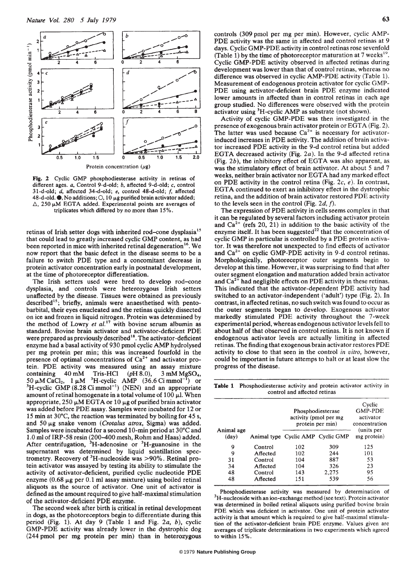

Fig. 2 Cyclic GMP phosphodiesterase activity in retinas of different ages. a, Control 9-d-old; b, affected 9-d-old; c, control 31-d-old; d, affected 34-d-old; e, control 48-d-old; f, affected 48-d-old.  $\bullet$ , No additions;  $\circ$ , 10  $\mu$ g purified brain activator added;  $\triangle$ , 250  $\mu$ M EGTA added. Experimental points are averages of triplicates which differed by no more than 15%.

retinas of Irish setter dogs with inherited rod-cone dysplasia<sup>15</sup> that could lead to greatly increased cyclic GMP content, as had been reported in mice with inherited retinal degeneration<sup>16</sup>. We now report that the basic defect in the disease seems to be a failure to switch PDE type and a concomitant decrease in protein activator concentration early in postnatal development, at the time of photoreceptor differentiation.

The Irish setters used were bred to develop rod-cone dysplasia, and controls were heterozygous Irish setters unaffected by the disease. Tissues were obtained as previously described<sup>15</sup>; briefly, animals were anaesthetised with pentobarbital, their eyes enucleated and the retinas quickly dissected on ice and frozen in liquid nitrogen. Protein was determined by the method of Lowry *et al.*<sup>17</sup> with bovine serum albumin as standard. Bovine brain activator and activator-deficient PDE were prepared as previously described<sup>18</sup>. The activator-deficient enzyme had a basal activity of 930 pmol cyclic AMP hydrolysed per mg protein per min; this was increased fourfold in the presence of optimal concentrations of  $Ca^{2+}$  and activator protein. PDE activity was measured using an assay mixture containing 40 mM Tris-HCl  $(pH 8.0),$ 3 mM MgSO<sub>4</sub>, 50 µM CaCl<sub>2</sub>, 1 µM <sup>3</sup>H-cyclic AMP  $(36.6 \text{ Ci mmol}^{-1})$  or <sup>3</sup>H-cyclic GMP  $(8.28 \text{ Ci mmol}^{-1})$  (NEN) and an appropriate amount of retinal homogenate in a total volume of  $100 \mu l$ . When appropriate, 250  $\mu$ M EGTA or 10  $\mu$ g of purified brain activator was added before PDE assay. Samples were incubated for 12 or 15 min at  $30^{\circ}$ C, the reaction was terminated by boiling for 45 s, and  $50 \mu g$  snake venom (Crotalus atrox, Sigma) was added. Samples were incubated for a second 10-min period at 30°C and 1.0 ml of IRP-58 resin (200-400 mesh, Rohm and Haas) added. After centrifugation,  ${}^{3}H$ -adenosine or  ${}^{3}H$ -guanosine in the supernatant was determined by liquid scintillation spectrometry. Recovery of  ${}^{3}$ H-nucleoside was >90%. Retinal protein activator was assayed by testing its ability to stimulate the activity of activator-deficient, purified cyclic nucleotide PDE enzyme  $(0.68 \mu g$  per 0.1 ml assay mixture) using boiled retinal aliquots as the source of activator. One unit of activator is defined as the amount required to give half-maximal stimulation of the activator-deficient PDE enzyme.

The second week after birth is critical in retinal development in dogs, as the photoreceptors begin to differentiate during this period (Fig. 1). At day 9 (Table 1 and Fig. 2a, b), cyclic GMP-PDE activity was already lower in the dystrophic dog (244 pmol per mg protein per min) than in heterozygous controls (309 pmol per mg per min). However, cyclic AMP-PDE activity was the same in affected and control retinas at 9 days. Cyclic GMP-PDE activity in control retinas rose sevenfold (Table 1) by the time of photoreceptor maturation at 7 weeks $^{19}$ . Cyclic GMP-PDE activity observed in affected retinas during development was lower than that of control retinas, whereas no difference was observed in cyclic AMP-PDE activity (Table 1). Measurement of endogenous protein activator for cyclic GMP-PDE using activator-deficient brain PDE enzyme indicated lower amounts in affected than in control retinas in each age group studied. No differences were observed with the protein activator using <sup>3</sup>H-cyclic AMP as substrate (not shown).

Activity of cyclic GMP-PDE was then investigated in the presence of exogenous brain activator protein or EGTA (Fig. 2). The latter was used because  $Ca^{2+}$  is necessary for activatorinduced increases in PDE activity. The addition of brain activator increased PDE activity in the 9-d control retina but added EGTA decreased activity (Fig. 2a). In the 9-d affected retina (Fig.  $2b$ ), the inhibitory effect of EGTA was also apparent, as was the stimulatory effect of brain activator. At about 5 and 7 weeks, neither brain activator nor EGTA had any marked effect on PDE activity in the control retina (Fig. 2c, e). In contrast, EGTA continued to exert an inhibitory effect in the dystrophic retina, and the addition of brain activator restored PDE activity to the levels seen in the control (Fig. 2d, f).

The expression of PDE activity in cells seems complex in that it can be regulated by several factors including activator protein and  $Ca^{2+}$  (refs 20, 21) in addition to the basic activity of the enzyme itself. It has been suggested<sup>22</sup> that the concentration of cyclic GMP in particular is controlled by a PDE protein activator. It was therefore not unexpected to find effects of activator and  $Ca<sup>2+</sup>$  on cyclic GMP-PDE activity in 9-d control retinas. Morphologically, photoreceptor outer segments begin to develop at this time. However, it was surprising to find that after outer segment elongation and maturation added brain activator and  $Ca^{2+}$  had negligible effects on PDE activity in these retinas. This indicated that the activator-dependent PDE activity had switched to an activator-independent ('adult') type (Fig. 2). In contrast, in affected retinas, no such switch was found to occur as the outer segments began to develop. Exogenous activator markedly stimulated PDE activity throughout the 7-week experimental period, whereas endogenous activator levels fell to about half of that observed in control retinas. It is not known if endogenous activator levels are actually limiting in affected retinas. The finding that exogenous brain activator restores PDE activity to close to that seen in the control in vitro, however, could be important in future attemps to halt or at least slow the progress of the disease.

Table 1 Phosphodiesterase activity and protein activator activity in control and affected retinas

| Animal age | Phosphodiesterase<br>activity (pmol per mg<br>protein per min) |                                   | Cyclic<br><b>GMP-PDE</b><br>activator<br>concentration<br>(units per |             |
|------------|----------------------------------------------------------------|-----------------------------------|----------------------------------------------------------------------|-------------|
| (dav)      |                                                                | Animal type Cyclic AMP Cyclic GMP |                                                                      | mg protein) |
| 9          | Control                                                        | 102                               | 309                                                                  | 125         |
| 9          | Affected                                                       | 102                               | 244                                                                  | 101         |
| 31         | Control                                                        | 104                               | 887                                                                  | 53          |
| 34         | Affected                                                       | 104                               | 326                                                                  | 23          |
| 48         | Control                                                        | 143                               | 2.275                                                                | 95          |
| 48         | Affected                                                       | 151                               | 539                                                                  | 56          |

Phosphodiesterase activity was measured by determination of <sup>3</sup>H-nucleoside with an ion-exchange method (see text). Protein activator was determined in boiled retinal aliquots using purified bovine brain PDE which was deficient in activator. One unit of protein activator activity is that amount which is required to give half-maximal stimulation of the activator-deficient brain PDE enzyme. Values given are averages of triplicate determinations in two experiments which agreed to within 15%.